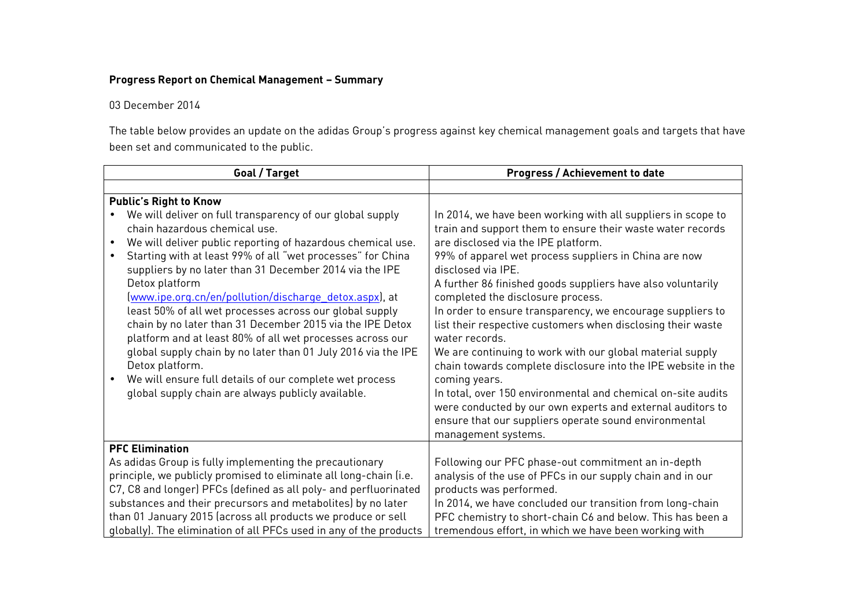## **Progress Report on Chemical Management – Summary**

## 03 December 2014

The table below provides an update on the adidas Group's progress against key chemical management goals and targets that have been set and communicated to the public.

| Goal / Target                                                      | <b>Progress / Achievement to date</b>                         |
|--------------------------------------------------------------------|---------------------------------------------------------------|
|                                                                    |                                                               |
| <b>Public's Right to Know</b>                                      |                                                               |
| We will deliver on full transparency of our global supply          | In 2014, we have been working with all suppliers in scope to  |
| chain hazardous chemical use.                                      | train and support them to ensure their waste water records    |
| We will deliver public reporting of hazardous chemical use.        | are disclosed via the IPE platform.                           |
| Starting with at least 99% of all "wet processes" for China        | 99% of apparel wet process suppliers in China are now         |
| suppliers by no later than 31 December 2014 via the IPE            | disclosed via IPE.                                            |
| Detox platform                                                     | A further 86 finished goods suppliers have also voluntarily   |
| (www.ipe.org.cn/en/pollution/discharge detox.aspx), at             | completed the disclosure process.                             |
| least 50% of all wet processes across our global supply            | In order to ensure transparency, we encourage suppliers to    |
| chain by no later than 31 December 2015 via the IPE Detox          | list their respective customers when disclosing their waste   |
| platform and at least 80% of all wet processes across our          | water records.                                                |
| global supply chain by no later than 01 July 2016 via the IPE      | We are continuing to work with our global material supply     |
| Detox platform.                                                    | chain towards complete disclosure into the IPE website in the |
| We will ensure full details of our complete wet process            | coming years.                                                 |
| global supply chain are always publicly available.                 | In total, over 150 environmental and chemical on-site audits  |
|                                                                    | were conducted by our own experts and external auditors to    |
|                                                                    | ensure that our suppliers operate sound environmental         |
|                                                                    | management systems.                                           |
| <b>PFC Elimination</b>                                             |                                                               |
| As adidas Group is fully implementing the precautionary            | Following our PFC phase-out commitment an in-depth            |
| principle, we publicly promised to eliminate all long-chain (i.e.  | analysis of the use of PFCs in our supply chain and in our    |
| C7, C8 and longer) PFCs (defined as all poly- and perfluorinated   | products was performed.                                       |
| substances and their precursors and metabolites) by no later       | In 2014, we have concluded our transition from long-chain     |
| than 01 January 2015 (across all products we produce or sell       | PFC chemistry to short-chain C6 and below. This has been a    |
| globally). The elimination of all PFCs used in any of the products | tremendous effort, in which we have been working with         |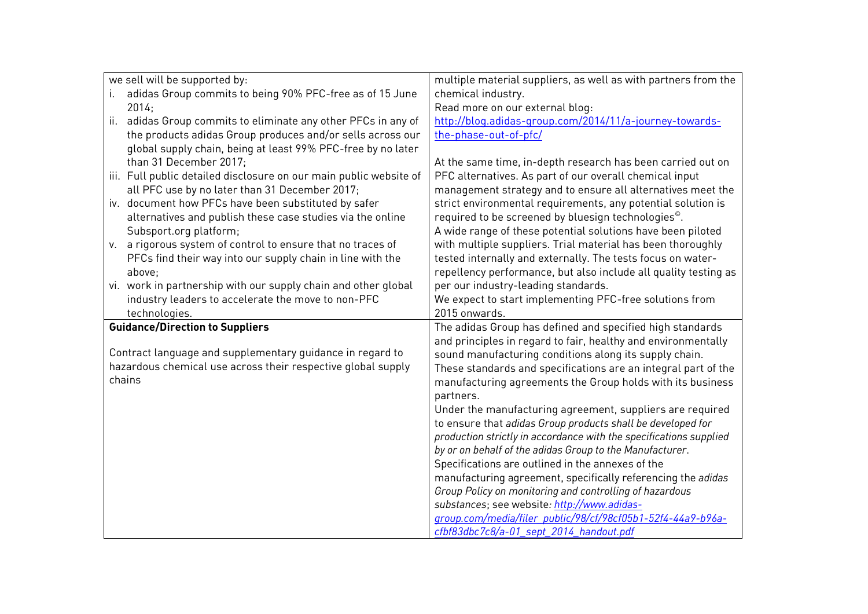| we sell will be supported by:                                      | multiple material suppliers, as well as with partners from the     |
|--------------------------------------------------------------------|--------------------------------------------------------------------|
| adidas Group commits to being 90% PFC-free as of 15 June<br>i.     | chemical industry.                                                 |
| 2014;                                                              | Read more on our external blog:                                    |
| adidas Group commits to eliminate any other PFCs in any of<br>ii.  | http://blog.adidas-group.com/2014/11/a-journey-towards-            |
| the products adidas Group produces and/or sells across our         | the-phase-out-of-pfc/                                              |
| global supply chain, being at least 99% PFC-free by no later       |                                                                    |
| than 31 December 2017;                                             | At the same time, in-depth research has been carried out on        |
| iii. Full public detailed disclosure on our main public website of | PFC alternatives. As part of our overall chemical input            |
| all PFC use by no later than 31 December 2017;                     | management strategy and to ensure all alternatives meet the        |
| iv. document how PFCs have been substituted by safer               | strict environmental requirements, any potential solution is       |
| alternatives and publish these case studies via the online         | required to be screened by bluesign technologies <sup>®</sup> .    |
| Subsport.org platform;                                             | A wide range of these potential solutions have been piloted        |
| v. a rigorous system of control to ensure that no traces of        | with multiple suppliers. Trial material has been thoroughly        |
| PFCs find their way into our supply chain in line with the         | tested internally and externally. The tests focus on water-        |
| above;                                                             | repellency performance, but also include all quality testing as    |
| vi. work in partnership with our supply chain and other global     | per our industry-leading standards.                                |
| industry leaders to accelerate the move to non-PFC                 | We expect to start implementing PFC-free solutions from            |
| technologies.                                                      | 2015 onwards.                                                      |
| <b>Guidance/Direction to Suppliers</b>                             | The adidas Group has defined and specified high standards          |
|                                                                    | and principles in regard to fair, healthy and environmentally      |
| Contract language and supplementary guidance in regard to          | sound manufacturing conditions along its supply chain.             |
| hazardous chemical use across their respective global supply       | These standards and specifications are an integral part of the     |
| chains                                                             | manufacturing agreements the Group holds with its business         |
|                                                                    | partners.                                                          |
|                                                                    | Under the manufacturing agreement, suppliers are required          |
|                                                                    | to ensure that adidas Group products shall be developed for        |
|                                                                    | production strictly in accordance with the specifications supplied |
|                                                                    | by or on behalf of the adidas Group to the Manufacturer.           |
|                                                                    | Specifications are outlined in the annexes of the                  |
|                                                                    | manufacturing agreement, specifically referencing the adidas       |
|                                                                    | Group Policy on monitoring and controlling of hazardous            |
|                                                                    | substances; see website: http://www.adidas-                        |
|                                                                    | group.com/media/filer_public/98/cf/98cf05b1-52f4-44a9-b96a-        |
|                                                                    | cfbf83dbc7c8/a-01 sept 2014 handout.pdf                            |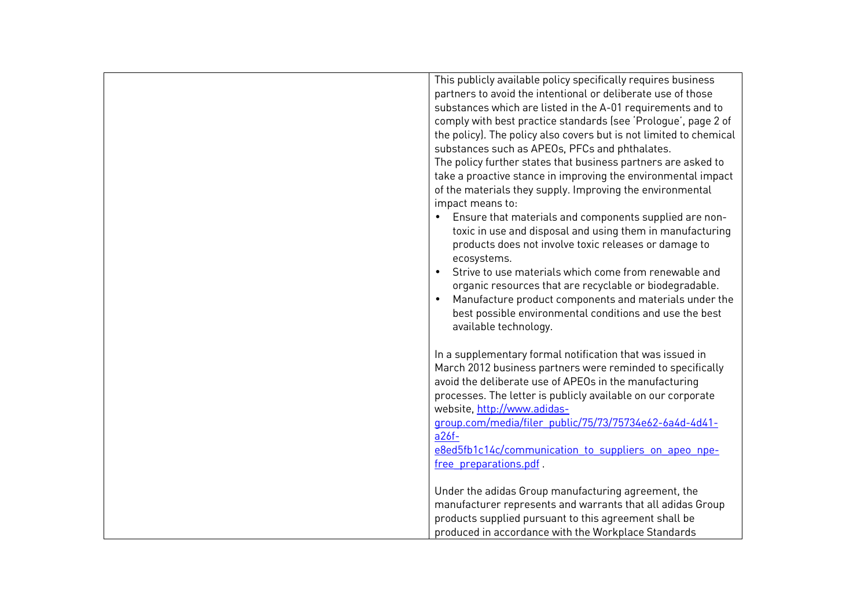| This publicly available policy specifically requires business      |
|--------------------------------------------------------------------|
| partners to avoid the intentional or deliberate use of those       |
| substances which are listed in the A-01 requirements and to        |
| comply with best practice standards (see 'Prologue', page 2 of     |
| the policy). The policy also covers but is not limited to chemical |
| substances such as APEOs, PFCs and phthalates.                     |
| The policy further states that business partners are asked to      |
| take a proactive stance in improving the environmental impact      |
| of the materials they supply. Improving the environmental          |
| impact means to:                                                   |
|                                                                    |
| Ensure that materials and components supplied are non-             |
| toxic in use and disposal and using them in manufacturing          |
| products does not involve toxic releases or damage to              |
| ecosystems.                                                        |
| Strive to use materials which come from renewable and              |
| organic resources that are recyclable or biodegradable.            |
| Manufacture product components and materials under the             |
| best possible environmental conditions and use the best            |
| available technology.                                              |
|                                                                    |
| In a supplementary formal notification that was issued in          |
|                                                                    |
| March 2012 business partners were reminded to specifically         |
| avoid the deliberate use of APEOs in the manufacturing             |
| processes. The letter is publicly available on our corporate       |
| website, http://www.adidas-                                        |
| group.com/media/filer public/75/73/75734e62-6a4d-4d41-             |
| $a26f -$                                                           |
| e8ed5fb1c14c/communication to suppliers on apeo npe-               |
| free preparations.pdf.                                             |
|                                                                    |
| Under the adidas Group manufacturing agreement, the                |
| manufacturer represents and warrants that all adidas Group         |
| products supplied pursuant to this agreement shall be              |
| produced in accordance with the Workplace Standards                |
|                                                                    |